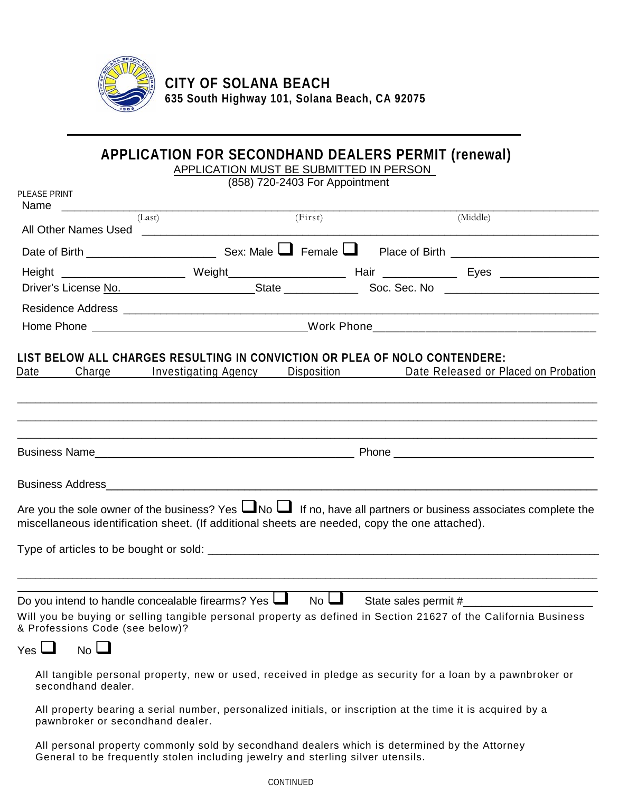

**CITY OF SOLANA BEACH 635 South Highway 101, Solana Beach, CA 92075**

**\_\_\_\_\_\_\_\_\_\_\_\_\_\_\_\_\_\_\_\_\_\_\_\_\_\_\_\_\_\_\_\_\_\_\_\_\_\_\_\_\_\_\_\_\_\_\_\_\_\_\_\_\_\_\_\_\_\_\_\_**

## **APPLICATION FOR SECONDHAND DEALERS PERMIT (renewal)** APPLICATION MUST BE SUBMITTED IN PERSON

(858) 720-2403 For Appointment

| PLEASE PRINT<br>Name <b>Name</b>                                                                                                                                                                                                                                                                                                                                                              |                                                                                                                                                                                                                            |          |
|-----------------------------------------------------------------------------------------------------------------------------------------------------------------------------------------------------------------------------------------------------------------------------------------------------------------------------------------------------------------------------------------------|----------------------------------------------------------------------------------------------------------------------------------------------------------------------------------------------------------------------------|----------|
| (Last)                                                                                                                                                                                                                                                                                                                                                                                        | (First)                                                                                                                                                                                                                    | (Middle) |
|                                                                                                                                                                                                                                                                                                                                                                                               |                                                                                                                                                                                                                            |          |
|                                                                                                                                                                                                                                                                                                                                                                                               |                                                                                                                                                                                                                            |          |
|                                                                                                                                                                                                                                                                                                                                                                                               |                                                                                                                                                                                                                            |          |
|                                                                                                                                                                                                                                                                                                                                                                                               |                                                                                                                                                                                                                            |          |
|                                                                                                                                                                                                                                                                                                                                                                                               |                                                                                                                                                                                                                            |          |
| Date <u>Date</u>                                                                                                                                                                                                                                                                                                                                                                              | LIST BELOW ALL CHARGES RESULTING IN CONVICTION OR PLEA OF NOLO CONTENDERE:<br>Charge <b>Example 1 Investigating Agency</b> Disposition <b>Date Released or Placed on Probation</b>                                         |          |
|                                                                                                                                                                                                                                                                                                                                                                                               |                                                                                                                                                                                                                            |          |
|                                                                                                                                                                                                                                                                                                                                                                                               |                                                                                                                                                                                                                            |          |
|                                                                                                                                                                                                                                                                                                                                                                                               | Are you the sole owner of the business? Yes $\Box$ No $\Box$ If no, have all partners or business associates complete the<br>miscellaneous identification sheet. (If additional sheets are needed, copy the one attached). |          |
|                                                                                                                                                                                                                                                                                                                                                                                               |                                                                                                                                                                                                                            |          |
|                                                                                                                                                                                                                                                                                                                                                                                               |                                                                                                                                                                                                                            |          |
| & Professions Code (see below)?<br>$\overline{a}$ and $\overline{a}$ and $\overline{a}$ and $\overline{a}$ and $\overline{a}$ and $\overline{a}$ and $\overline{a}$ and $\overline{a}$ and $\overline{a}$ and $\overline{a}$ and $\overline{a}$ and $\overline{a}$ and $\overline{a}$ and $\overline{a}$ and $\overline{a}$ and $\overline{a}$ and $\overline{a}$ and<br>$No$ $\Box$<br>Yes l | Do you intend to handle concealable firearms? Yes $\Box$ No $\Box$ State sales permit #<br>Will you be buying or selling tangible personal property as defined in Section 21627 of the California Business                 |          |
| secondhand dealer.                                                                                                                                                                                                                                                                                                                                                                            | All tangible personal property, new or used, received in pledge as security for a loan by a pawnbroker or                                                                                                                  |          |
| pawnbroker or secondhand dealer.                                                                                                                                                                                                                                                                                                                                                              | All property bearing a serial number, personalized initials, or inscription at the time it is acquired by a                                                                                                                |          |

All personal property commonly sold by secondhand dealers which is determined by the Attorney General to be frequently stolen including jewelry and sterling silver utensils.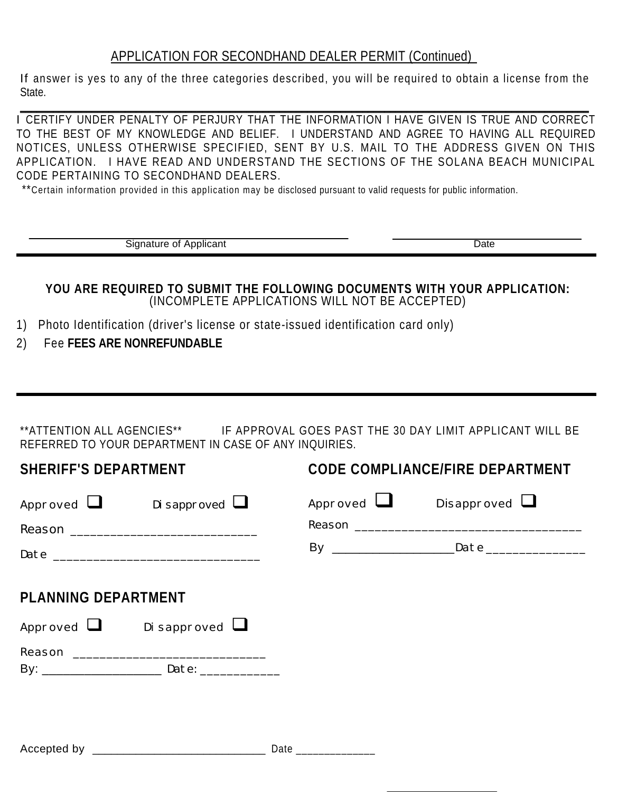## APPLICATION FOR SECONDHAND DEALER PERMIT (Continued)

If answer is yes to any of the three categories described, you will be required to obtain a license from the State.

\_\_\_\_\_\_\_\_\_\_\_\_\_\_\_\_\_\_\_\_\_\_\_\_\_\_\_\_\_\_\_\_\_\_\_\_\_\_\_\_\_\_\_\_\_\_\_\_\_\_\_\_\_\_\_\_\_\_\_\_\_\_\_\_\_\_\_\_\_\_\_\_\_\_\_\_\_\_\_\_\_\_\_\_\_\_\_\_\_\_\_\_\_\_\_\_\_\_\_\_\_\_\_ I CERTIFY UNDER PENALTY OF PERJURY THAT THE INFORMATION I HAVE GIVEN IS TRUE AND CORRECT TO THE BEST OF MY KNOWLEDGE AND BELIEF. I UNDERSTAND AND AGREE TO HAVING ALL REQUIRED NOTICES, UNLESS OTHERWISE SPECIFIED, SENT BY U.S. MAIL TO THE ADDRESS GIVEN ON THIS APPLICATION. I HAVE READ AND UNDERSTAND THE SECTIONS OF THE SOLANA BEACH MUNICIPAL CODE PERTAINING TO SECONDHAND DEALERS.

\*\*Certain information provided in this application may be disclosed pursuant to valid requests for public information.

Signature of Applicant Date Date

**YOU ARE REQUIRED TO SUBMIT THE FOLLOWING DOCUMENTS WITH YOUR APPLICATION:** (INCOMPLETE APPLICATIONS WILL NOT BE ACCEPTED)

- 1) Photo Identification (driver's license or state-issued identification card only)
- 2) Fee **FEES ARE NONREFUNDABLE**

\*\*ATTENTION ALL AGENCIES\*\* IF APPROVAL GOES PAST THE 30 DAY LIMIT APPLICANT WILL BE REFERRED TO YOUR DEPARTMENT IN CASE OF ANY INQUIRIES.

| <b>SHERIFF'S DEPARTMENT</b>        | CODE COMPLIANCE/FIRE DEPARTMENT |  |  |
|------------------------------------|---------------------------------|--|--|
| Approved $\Box$ Disapproved $\Box$ | Approved <b>Disapproved</b>     |  |  |
| <b>PLANNING DEPARTMENT</b>         |                                 |  |  |
| Approved $\Box$ Disapproved $\Box$ |                                 |  |  |
|                                    |                                 |  |  |